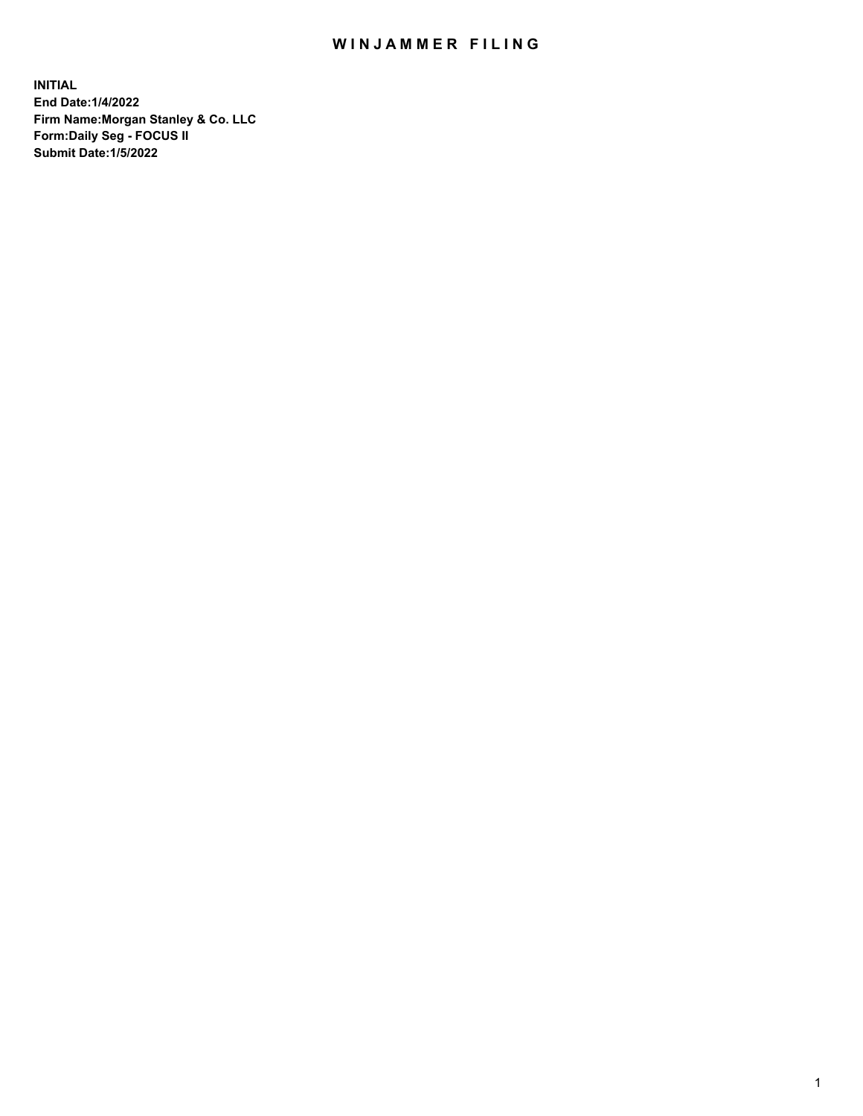## WIN JAMMER FILING

**INITIAL End Date:1/4/2022 Firm Name:Morgan Stanley & Co. LLC Form:Daily Seg - FOCUS II Submit Date:1/5/2022**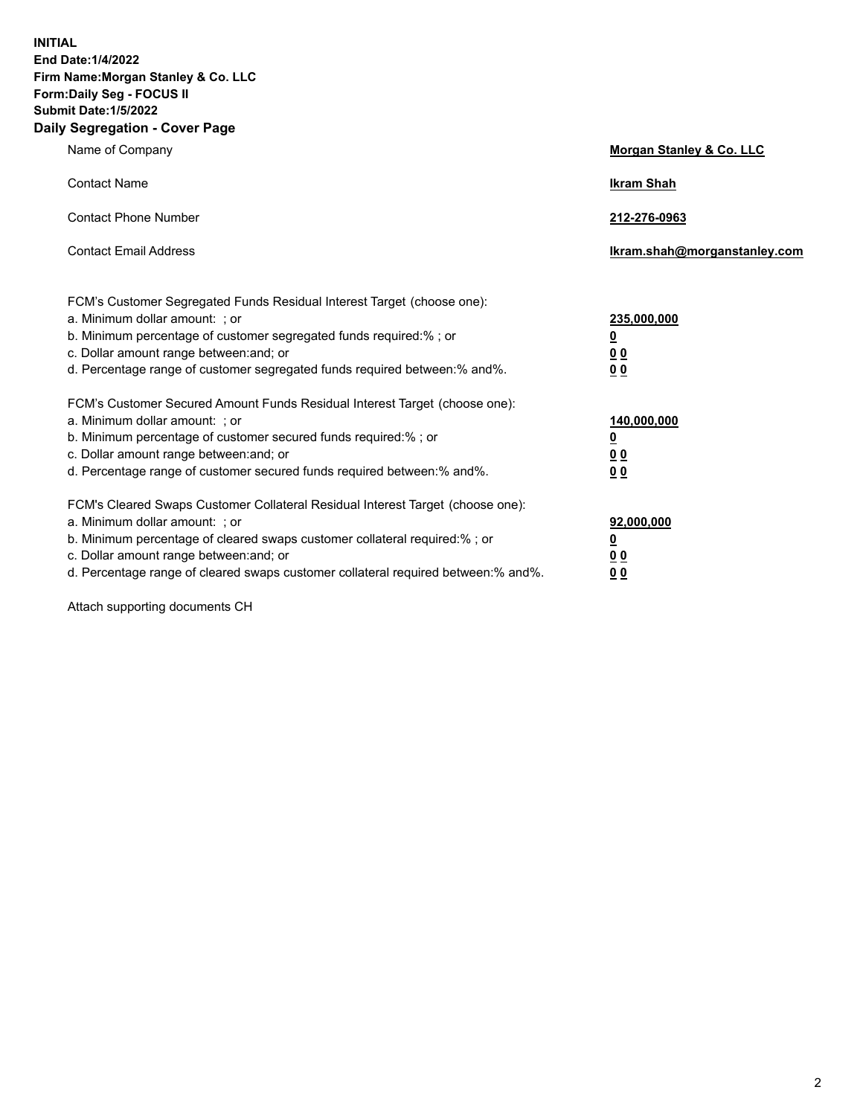**INITIAL End Date:1/4/2022 Firm Name:Morgan Stanley & Co. LLC Form:Daily Seg - FOCUS II Submit Date:1/5/2022 Daily Segregation - Cover Page**

| Name of Company                                                                                                                                                                                                                                                                                                               | Morgan Stanley & Co. LLC                                                     |
|-------------------------------------------------------------------------------------------------------------------------------------------------------------------------------------------------------------------------------------------------------------------------------------------------------------------------------|------------------------------------------------------------------------------|
| <b>Contact Name</b>                                                                                                                                                                                                                                                                                                           | <b>Ikram Shah</b>                                                            |
| <b>Contact Phone Number</b>                                                                                                                                                                                                                                                                                                   | 212-276-0963                                                                 |
| <b>Contact Email Address</b>                                                                                                                                                                                                                                                                                                  | Ikram.shah@morganstanley.com                                                 |
| FCM's Customer Segregated Funds Residual Interest Target (choose one):<br>a. Minimum dollar amount: ; or<br>b. Minimum percentage of customer segregated funds required:% ; or<br>c. Dollar amount range between: and; or<br>d. Percentage range of customer segregated funds required between: % and %.                      | 235,000,000<br><u>0</u><br><u>00</u><br>0 Q                                  |
| FCM's Customer Secured Amount Funds Residual Interest Target (choose one):<br>a. Minimum dollar amount: ; or<br>b. Minimum percentage of customer secured funds required:%; or<br>c. Dollar amount range between: and; or<br>d. Percentage range of customer secured funds required between:% and%.                           | 140,000,000<br><u>0</u><br>$\underline{0}$ $\underline{0}$<br>0 <sup>0</sup> |
| FCM's Cleared Swaps Customer Collateral Residual Interest Target (choose one):<br>a. Minimum dollar amount: ; or<br>b. Minimum percentage of cleared swaps customer collateral required:%; or<br>c. Dollar amount range between: and; or<br>d. Percentage range of cleared swaps customer collateral required between:% and%. | 92,000,000<br><u>0</u><br><u>00</u><br>00                                    |

Attach supporting documents CH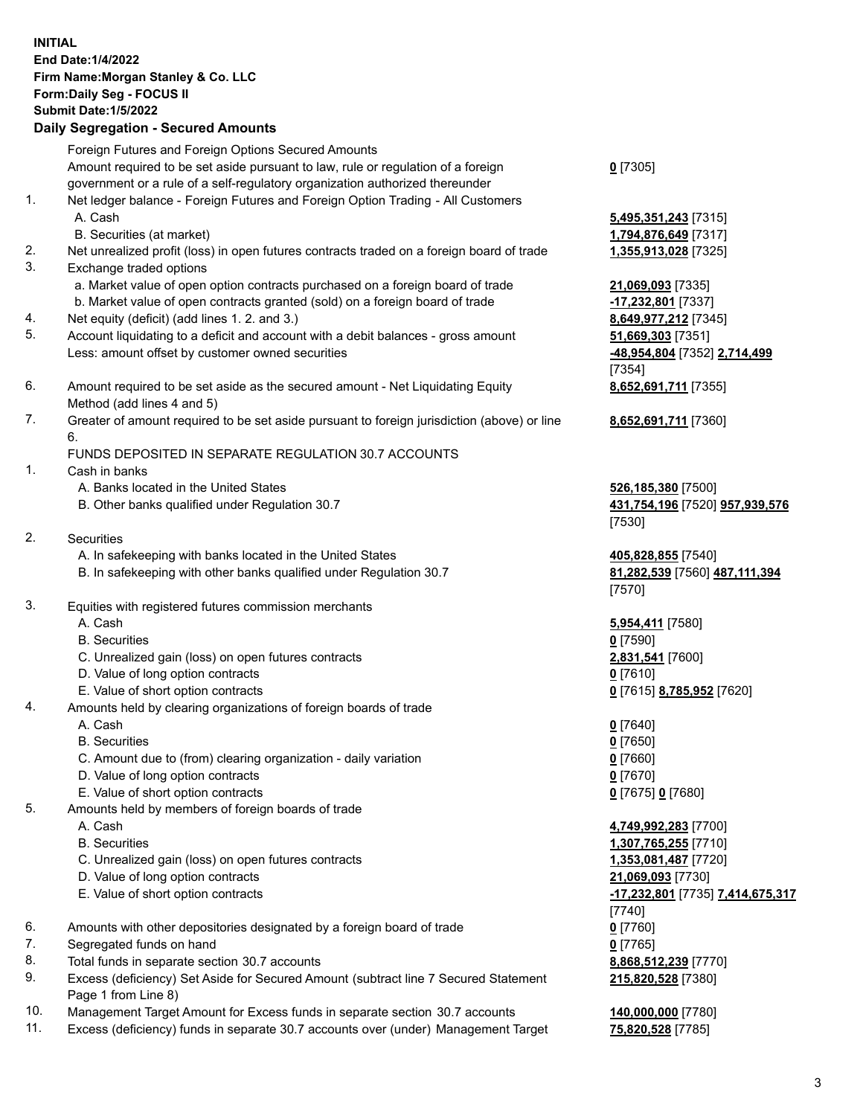| <b>INITIAL</b> |                                                                                             |                                                |
|----------------|---------------------------------------------------------------------------------------------|------------------------------------------------|
|                | End Date: 1/4/2022                                                                          |                                                |
|                | Firm Name: Morgan Stanley & Co. LLC                                                         |                                                |
|                | Form: Daily Seg - FOCUS II                                                                  |                                                |
|                | <b>Submit Date: 1/5/2022</b>                                                                |                                                |
|                | <b>Daily Segregation - Secured Amounts</b>                                                  |                                                |
|                | Foreign Futures and Foreign Options Secured Amounts                                         |                                                |
|                | Amount required to be set aside pursuant to law, rule or regulation of a foreign            | $0$ [7305]                                     |
|                | government or a rule of a self-regulatory organization authorized thereunder                |                                                |
|                |                                                                                             |                                                |
| 1.             | Net ledger balance - Foreign Futures and Foreign Option Trading - All Customers             |                                                |
|                | A. Cash                                                                                     | 5,495,351,243 [7315]                           |
|                | B. Securities (at market)                                                                   | 1,794,876,649 [7317]                           |
| 2.             | Net unrealized profit (loss) in open futures contracts traded on a foreign board of trade   | 1,355,913,028 [7325]                           |
| 3.             | Exchange traded options                                                                     |                                                |
|                | a. Market value of open option contracts purchased on a foreign board of trade              | 21,069,093 [7335]                              |
|                | b. Market value of open contracts granted (sold) on a foreign board of trade                | -17,232,801 [7337]                             |
| 4.             | Net equity (deficit) (add lines 1. 2. and 3.)                                               | 8,649,977,212 [7345]                           |
| 5.             | Account liquidating to a deficit and account with a debit balances - gross amount           | 51,669,303 [7351]                              |
|                | Less: amount offset by customer owned securities                                            | -48,954,804 [7352] 2,714,499                   |
|                |                                                                                             | [7354]                                         |
| 6.             | Amount required to be set aside as the secured amount - Net Liquidating Equity              | 8,652,691,711 [7355]                           |
|                | Method (add lines 4 and 5)                                                                  |                                                |
| 7.             | Greater of amount required to be set aside pursuant to foreign jurisdiction (above) or line | 8,652,691,711 [7360]                           |
|                | 6.                                                                                          |                                                |
|                | FUNDS DEPOSITED IN SEPARATE REGULATION 30.7 ACCOUNTS                                        |                                                |
| 1.             | Cash in banks                                                                               |                                                |
|                |                                                                                             |                                                |
|                | A. Banks located in the United States                                                       | 526,185,380 [7500]                             |
|                | B. Other banks qualified under Regulation 30.7                                              | 431,754,196 [7520] 957,939,576                 |
|                |                                                                                             | [7530]                                         |
| 2.             | Securities                                                                                  |                                                |
|                | A. In safekeeping with banks located in the United States                                   | 405,828,855 [7540]                             |
|                | B. In safekeeping with other banks qualified under Regulation 30.7                          | 81,282,539 [7560] 487,111,394                  |
|                |                                                                                             | [7570]                                         |
| 3.             | Equities with registered futures commission merchants                                       |                                                |
|                | A. Cash                                                                                     | 5,954,411 [7580]                               |
|                | <b>B.</b> Securities                                                                        | <u>0</u> [7590]                                |
|                | C. Unrealized gain (loss) on open futures contracts                                         | 2,831,541 [7600]                               |
|                | D. Value of long option contracts                                                           | $0$ [7610]                                     |
|                | E. Value of short option contracts                                                          | <u>0</u> [7615] <b>8,785,952</b> [7620]        |
| 4.             | Amounts held by clearing organizations of foreign boards of trade                           |                                                |
|                | A. Cash                                                                                     | $0$ [7640]                                     |
|                | <b>B.</b> Securities                                                                        | $0$ [7650]                                     |
|                | C. Amount due to (from) clearing organization - daily variation                             | $0$ [7660]                                     |
|                | D. Value of long option contracts                                                           | $0$ [7670]                                     |
|                | E. Value of short option contracts                                                          |                                                |
| 5.             | Amounts held by members of foreign boards of trade                                          | 0 [7675] 0 [7680]                              |
|                | A. Cash                                                                                     |                                                |
|                |                                                                                             | 4,749,992,283 [7700]                           |
|                | <b>B.</b> Securities                                                                        | 1,307,765,255 [7710]                           |
|                | C. Unrealized gain (loss) on open futures contracts                                         | 1,353,081,487 [7720]                           |
|                | D. Value of long option contracts                                                           | 21,069,093 [7730]                              |
|                | E. Value of short option contracts                                                          | <u>-17,232,801</u> [7735] <u>7,414,675,317</u> |
|                |                                                                                             | [7740]                                         |
| 6.             | Amounts with other depositories designated by a foreign board of trade                      | $0$ [7760]                                     |
| 7.             | Segregated funds on hand                                                                    | $0$ [7765]                                     |
| 8.             | Total funds in separate section 30.7 accounts                                               | 8,868,512,239 [7770]                           |
| 9.             | Excess (deficiency) Set Aside for Secured Amount (subtract line 7 Secured Statement         | 215,820,528 [7380]                             |
|                | Page 1 from Line 8)                                                                         |                                                |

10. Management Target Amount for Excess funds in separate section 30.7 accounts **140,000,000** [7780]

11. Excess (deficiency) funds in separate 30.7 accounts over (under) Management Target **75,820,528** [7785]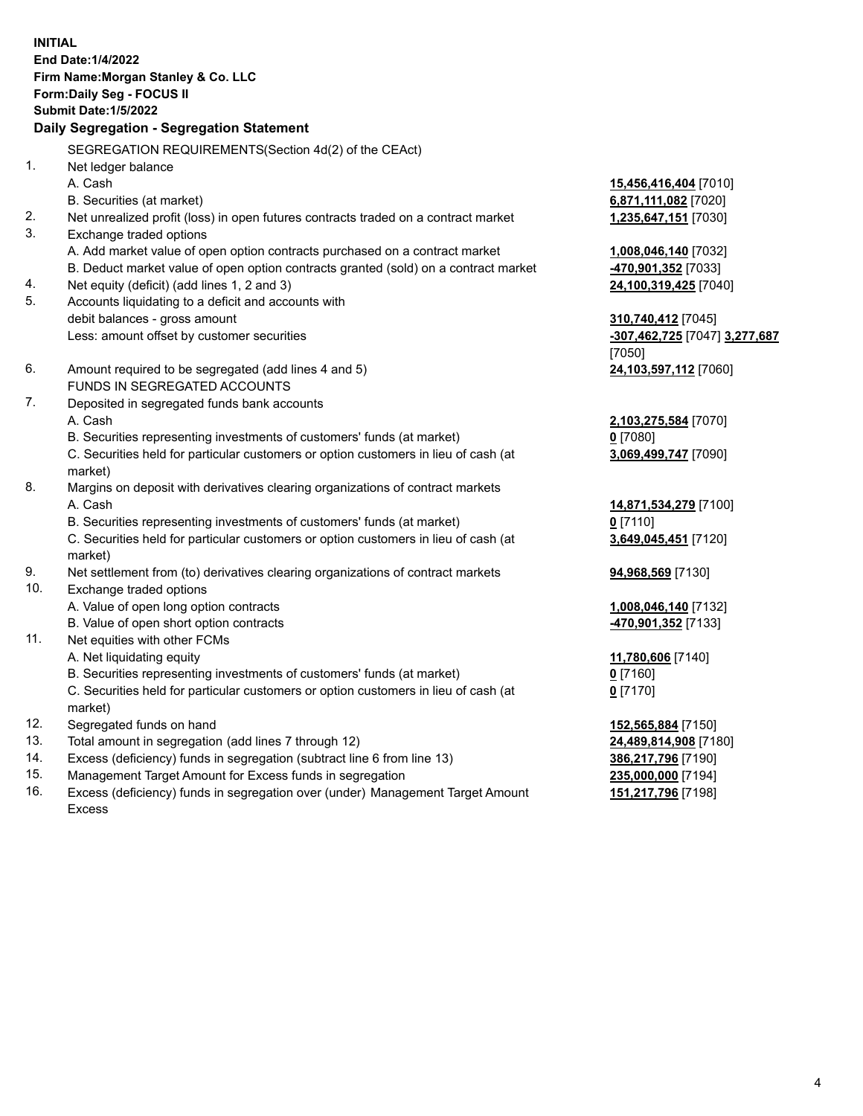**INITIAL End Date:1/4/2022 Firm Name:Morgan Stanley & Co. LLC Form:Daily Seg - FOCUS II Submit Date:1/5/2022 Daily Segregation - Segregation Statement** SEGREGATION REQUIREMENTS(Section 4d(2) of the CEAct) 1. Net ledger balance A. Cash **15,456,416,404** [7010] B. Securities (at market) **6,871,111,082** [7020] 2. Net unrealized profit (loss) in open futures contracts traded on a contract market **1,235,647,151** [7030] 3. Exchange traded options A. Add market value of open option contracts purchased on a contract market **1,008,046,140** [7032] B. Deduct market value of open option contracts granted (sold) on a contract market **-470,901,352** [7033] 4. Net equity (deficit) (add lines 1, 2 and 3) **24,100,319,425** [7040] 5. Accounts liquidating to a deficit and accounts with debit balances - gross amount **310,740,412** [7045] Less: amount offset by customer securities **-307,462,725** [7047] **3,277,687** [7050] 6. Amount required to be segregated (add lines 4 and 5) **24,103,597,112** [7060] FUNDS IN SEGREGATED ACCOUNTS 7. Deposited in segregated funds bank accounts A. Cash **2,103,275,584** [7070] B. Securities representing investments of customers' funds (at market) **0** [7080] C. Securities held for particular customers or option customers in lieu of cash (at market) **3,069,499,747** [7090] 8. Margins on deposit with derivatives clearing organizations of contract markets A. Cash **14,871,534,279** [7100] B. Securities representing investments of customers' funds (at market) **0** [7110] C. Securities held for particular customers or option customers in lieu of cash (at market) **3,649,045,451** [7120] 9. Net settlement from (to) derivatives clearing organizations of contract markets **94,968,569** [7130] 10. Exchange traded options A. Value of open long option contracts **1,008,046,140** [7132] B. Value of open short option contracts **-470,901,352** [7133] 11. Net equities with other FCMs A. Net liquidating equity **11,780,606** [7140] B. Securities representing investments of customers' funds (at market) **0** [7160] C. Securities held for particular customers or option customers in lieu of cash (at market) **0** [7170] 12. Segregated funds on hand **152,565,884** [7150] 13. Total amount in segregation (add lines 7 through 12) **24,489,814,908** [7180] 14. Excess (deficiency) funds in segregation (subtract line 6 from line 13) **386,217,796** [7190] 15. Management Target Amount for Excess funds in segregation **235,000,000** [7194]

16. Excess (deficiency) funds in segregation over (under) Management Target Amount Excess

**151,217,796** [7198]